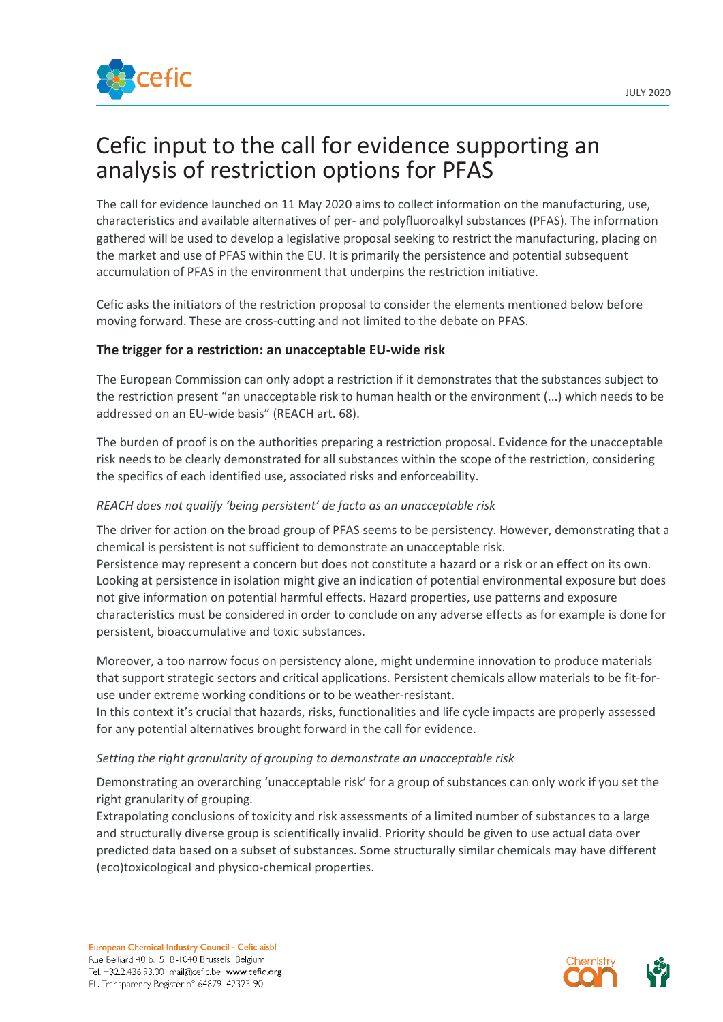

The call for evidence launched on 11 May 2020 aims to collect information on the manufacturing, use, characteristics and available alternatives of per- and polyfluoroalkyl substances (PFAS). The information gathered will be used to develop a legislative proposal seeking to restrict the manufacturing, placing on the market and use of PFAS within the EU. It is primarily the persistence and potential subsequent accumulation of PFAS in the environment that underpins the restriction initiative.

Cefic asks the initiators of the restriction proposal to consider the elements mentioned below before moving forward. These are cross-cutting and not limited to the debate on PFAS.

## **The trigger for a restriction: an unacceptable EU-wide risk**

The European Commission can only adopt a restriction if it demonstrates that the substances subject to the restriction present "an unacceptable risk to human health or the environment (...) which needs to be addressed on an EU-wide basis" (REACH art. 68).

The burden of proof is on the authorities preparing a restriction proposal. Evidence for the unacceptable risk needs to be clearly demonstrated for all substances within the scope of the restriction, considering the specifics of each identified use, associated risks and enforceability.

## *REACH does not qualify 'being persistent' de facto as an unacceptable risk*

The driver for action on the broad group of PFAS seems to be persistency. However, demonstrating that a chemical is persistent is not sufficient to demonstrate an unacceptable risk. Persistence may represent a concern but does not constitute a hazard or a risk or an effect on its own. Looking at persistence in isolation might give an indication of potential environmental exposure but does not give information on potential harmful effects. Hazard properties, use patterns and exposure characteristics must be considered in order to conclude on any adverse effects as for example is done for persistent, bioaccumulative and toxic substances.

Moreover, a too narrow focus on persistency alone, might undermine innovation to produce materials that support strategic sectors and critical applications. Persistent chemicals allow materials to be fit-foruse under extreme working conditions or to be weather-resistant.

In this context it's crucial that hazards, risks, functionalities and life cycle impacts are properly assessed for any potential alternatives brought forward in the call for evidence.

## *Setting the right granularity of grouping to demonstrate an unacceptable risk*

Demonstrating an overarching 'unacceptable risk' for a group of substances can only work if you set the right granularity of grouping.

Extrapolating conclusions of toxicity and risk assessments of a limited number of substances to a large and structurally diverse group is scientifically invalid. Priority should be given to use actual data over predicted data based on a subset of substances. Some structurally similar chemicals may have different (eco)toxicological and physico-chemical properties.